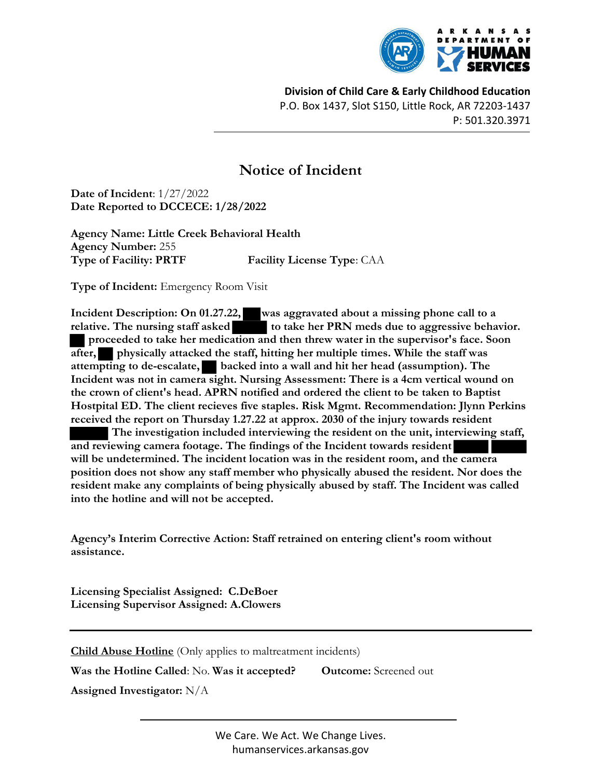

Division of Child Care & Early Childhood Education P.O. Box 1437, Slot S150, Little Rock, AR 72203-1437 P: 501.320.3971

## Notice of Incident

Date of Incident: 1/27/2022 Date Reported to DCCECE: 1/28/2022

Agency Name: Little Creek Behavioral Health Agency Number: 255 Type of Facility: PRTF Facility License Type: CAA

Type of Incident: Emergency Room Visit

Incident Description: On 01.27.22, was aggravated about a missing phone call to a relative. The nursing staff asked to take her PRN meds due to aggressive behavior. proceeded to take her medication and then threw water in the supervisor's face. Soon after, physically attacked the staff, hitting her multiple times. While the staff was attempting to de-escalate, backed into a wall and hit her head (assumption). The Incident was not in camera sight. Nursing Assessment: There is a 4cm vertical wound on the crown of client's head. APRN notified and ordered the client to be taken to Baptist Hostpital ED. The client recieves five staples. Risk Mgmt. Recommendation: Jlynn Perkins received the report on Thursday 1.27.22 at approx. 2030 of the injury towards resident The investigation included interviewing the resident on the unit, interviewing staff, and reviewing camera footage. The findings of the Incident towards resident will be undetermined. The incident location was in the resident room, and the camera position does not show any staff member who physically abused the resident. Nor does the

resident make any complaints of being physically abused by staff. The Incident was called into the hotline and will not be accepted.

Agency's Interim Corrective Action: Staff retrained on entering client's room without assistance.

Licensing Specialist Assigned: C.DeBoer Licensing Supervisor Assigned: A.Clowers

Child Abuse Hotline (Only applies to maltreatment incidents)

Was the Hotline Called: No. Was it accepted? Outcome: Screened out

Assigned Investigator: N/A

We Care. We Act. We Change Lives. humanservices.arkansas.gov